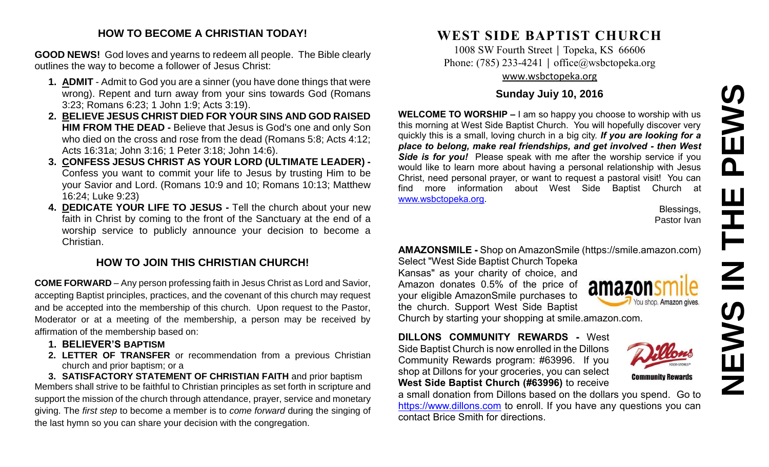# **NEWS IN THE PEWS**PEWS 존  $\overline{z}$ **NEW**

#### **HOW TO BECOME A CHRISTIAN TODAY!**

**GOOD NEWS!** God loves and yearns to redeem all people. The Bible clearly outlines the way to become a follower of Jesus Christ:

- **1. ADMIT** Admit to God you are a sinner (you have done things that were wrong). Repent and turn away from your sins towards God (Romans 3:23; Romans 6:23; 1 John 1:9; Acts 3:19).
- **2. BELIEVE JESUS CHRIST DIED FOR YOUR SINS AND GOD RAISED HIM FROM THE DEAD -** Believe that Jesus is God's one and only Son who died on the cross and rose from the dead (Romans 5:8; Acts 4:12; Acts 16:31a; John 3:16; 1 Peter 3:18; John 14:6).
- **3. CONFESS JESUS CHRIST AS YOUR LORD (ULTIMATE LEADER) -** Confess you want to commit your life to Jesus by trusting Him to be your Savior and Lord. (Romans 10:9 and 10; Romans 10:13; Matthew 16:24; Luke 9:23)
- **4. DEDICATE YOUR LIFE TO JESUS -** Tell the church about your new faith in Christ by coming to the front of the Sanctuary at the end of a worship service to publicly announce your decision to become a Christian.

#### **HOW TO JOIN THIS CHRISTIAN CHURCH!**

**COME FORWARD** – Any person professing faith in Jesus Christ as Lord and Savior, accepting Baptist principles, practices, and the covenant of this church may request and be accepted into the membership of this church. Upon request to the Pastor, Moderator or at a meeting of the membership, a person may be received by affirmation of the membership based on:

- **1. BELIEVER'S BAPTISM**
- **2. LETTER OF TRANSFER** or recommendation from a previous Christian church and prior baptism; or a

**3. SATISFACTORY STATEMENT OF CHRISTIAN FAITH** and prior baptism Members shall strive to be faithful to Christian principles as set forth in scripture and support the mission of the church through attendance, prayer, service and monetary giving. The *first step* to become a member is to *come forward* during the singing of the last hymn so you can share your decision with the congregation.

## **WEST SIDE BAPTIST CHURCH**

1008 SW Fourth Street | Topeka, KS 66606 Phone: (785) 233-4241 │ [office@wsbctopeka.org](mailto:office@wsbctopeka.org) [www.wsbctopeka.org](http://www.wsbctopeka.org/)

#### **Sunday Juiy 10, 2016**

**WELCOME TO WORSHIP –** I am so happy you choose to worship with us this morning at West Side Baptist Church. You will hopefully discover very quickly this is a small, loving church in a big city. *If you are looking for a place to belong, make real friendships, and get involved - then West Side is for you!* Please speak with me after the worship service if you would like to learn more about having a personal relationship with Jesus Christ, need personal prayer, or want to request a pastoral visit! You can find more information about West Side Baptist Church at [www.wsbctopeka.org.](http://www.wsbctopeka.org/)

> Blessings, Pastor Ivan

#### **AMAZONSMILE -** Shop on AmazonSmile (https://smile.amazon.com)

Select "West Side Baptist Church Topeka Kansas" as your charity of choice, and Amazon donates 0.5% of the price of your eligible AmazonSmile purchases to the church. Support West Side Baptist Church by starting your shopping at smile.amazon.com.



**DILLONS COMMUNITY REWARDS -** West Side Baptist Church is now enrolled in the Dillons Community Rewards program: #63996. If you shop at Dillons for your groceries, you can select **West Side Baptist Church (#63996)** to receive

a small donation from Dillons based on the dollars you spend. Go to [https://www.dillons.com](https://www.dillons.com/) to enroll. If you have any questions you can contact Brice Smith for directions.

**Community Rewards**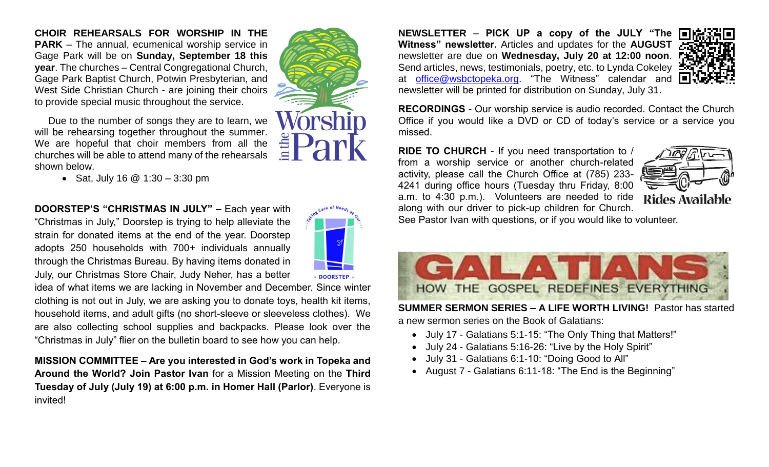**CHOIR REHEARSALS FOR WORSHIP IN THE PARK** – The annual, ecumenical worship service in Gage Park will be on **Sunday, September 18 this year**. The churches – Central Congregational Church, Gage Park Baptist Church, Potwin Presbyterian, and West Side Christian Church - are joining their choirs to provide special music throughout the service.

Due to the number of songs they are to learn, we will be rehearsing together throughout the summer. We are hopeful that choir members from all the churches will be able to attend many of the rehearsals shown below.

• Sat, July 16  $@$  1:30 – 3:30 pm

**DOORSTEP'S "CHRISTMAS IN JULY" –** Each year with "Christmas in July," Doorstep is trying to help alleviate the strain for donated items at the end of the year. Doorstep adopts 250 households with 700+ individuals annually through the Christmas Bureau. By having items donated in July, our Christmas Store Chair, Judy Neher, has a better

idea of what items we are lacking in November and December. Since winter clothing is not out in July, we are asking you to donate toys, health kit items, household items, and adult gifts (no short-sleeve or sleeveless clothes). We are also collecting school supplies and backpacks. Please look over the "Christmas in July" flier on the bulletin board to see how you can help.

**MISSION COMMITTEE – Are you interested in God's work in Topeka and Around the World? Join Pastor Ivan** for a Mission Meeting on the **Third Tuesday of July (July 19) at 6:00 p.m. in Homer Hall (Parlor)**. Everyone is invited!

**NEWSLETTER** – **PICK UP a copy of the JULY "The Witness" newsletter.** Articles and updates for the **AUGUST**  newsletter are due on **Wednesday, July 20 at 12:00 noon**. Send articles, news, testimonials, poetry, etc. to Lynda Cokeley : at [office@wsbctopeka.org.](mailto:office@wsbctopeka.org) "The Witness" calendar and newsletter will be printed for distribution on Sunday, July 31.



**RECORDINGS** - Our worship service is audio recorded. Contact the Church Office if you would like a DVD or CD of today's service or a service you missed.

**RIDE TO CHURCH** - If you need transportation to / from a worship service or another church-related activity, please call the Church Office at (785) 233- 4241 during office hours (Tuesday thru Friday, 8:00 a.m. to 4:30 p.m.). Volunteers are needed to ride along with our driver to pick-up children for Church.



See Pastor Ivan with questions, or if you would like to volunteer.



**SUMMER SERMON SERIES – A LIFE WORTH LIVING!** Pastor has started a new sermon series on the Book of Galatians:

- July 17 Galatians 5:1-15: "The Only Thing that Matters!"
- July 24 Galatians 5:16-26: "Live by the Holy Spirit"
- July 31 Galatians 6:1-10: "Doing Good to All"
- August 7 Galatians 6:11-18: "The End is the Beginning"

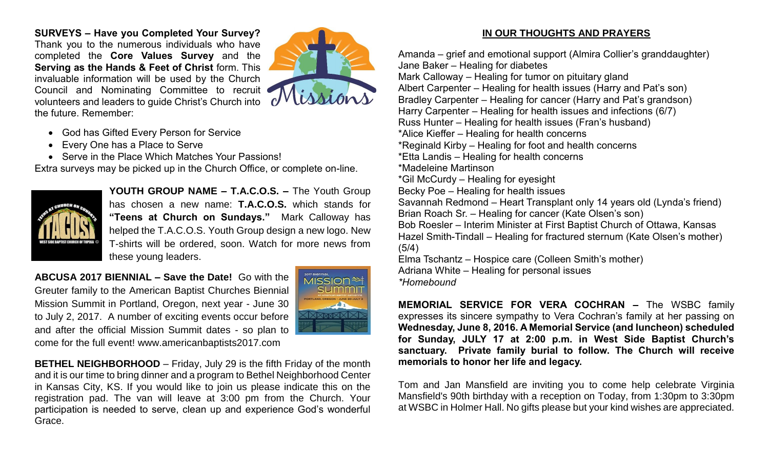**SURVEYS – Have you Completed Your Survey?**  Thank you to the numerous individuals who have completed the **Core Values Survey** and the **Serving as the Hands & Feet of Christ** form. This invaluable information will be used by the Church Council and Nominating Committee to recruit volunteers and leaders to guide Christ's Church into the future. Remember:



- God has Gifted Every Person for Service
- Every One has a Place to Serve
- Serve in the Place Which Matches Your Passions!

Extra surveys may be picked up in the Church Office, or complete on-line.



**YOUTH GROUP NAME – T.A.C.O.S. –** The Youth Group has chosen a new name: **T.A.C.O.S.** which stands for **"Teens at Church on Sundays."** Mark Calloway has helped the T.A.C.O.S. Youth Group design a new logo. New T-shirts will be ordered, soon. Watch for more news from these young leaders.

**ABCUSA 2017 BIENNIAL – Save the Date!** Go with the Greuter family to the American Baptist Churches Biennial Mission Summit in Portland, Oregon, next year - June 30 to July 2, 2017. A number of exciting events occur before and after the official Mission Summit dates - so plan to come for the full event! www.americanbaptists2017.com



**BETHEL NEIGHBORHOOD** – Friday, July 29 is the fifth Friday of the month and it is our time to bring dinner and a program to Bethel Neighborhood Center in Kansas City, KS. If you would like to join us please indicate this on the registration pad. The van will leave at 3:00 pm from the Church. Your participation is needed to serve, clean up and experience God's wonderful Grace.

#### **IN OUR THOUGHTS AND PRAYERS**

Amanda – grief and emotional support (Almira Collier's granddaughter) Jane Baker – Healing for diabetes Mark Calloway – Healing for tumor on pituitary gland Albert Carpenter – Healing for health issues (Harry and Pat's son) Bradley Carpenter – Healing for cancer (Harry and Pat's grandson) Harry Carpenter – Healing for health issues and infections (6/7) Russ Hunter – Healing for health issues (Fran's husband) \*Alice Kieffer – Healing for health concerns \*Reginald Kirby – Healing for foot and health concerns \*Etta Landis – Healing for health concerns \*Madeleine Martinson \*Gil McCurdy – Healing for eyesight Becky Poe – Healing for health issues Savannah Redmond – Heart Transplant only 14 years old (Lynda's friend) Brian Roach Sr. – Healing for cancer (Kate Olsen's son) Bob Roesler – Interim Minister at First Baptist Church of Ottawa, Kansas Hazel Smith-Tindall – Healing for fractured sternum (Kate Olsen's mother) (5/4) Elma Tschantz – Hospice care (Colleen Smith's mother) Adriana White – Healing for personal issues *\*Homebound*

**MEMORIAL SERVICE FOR VERA COCHRAN –** The WSBC family expresses its sincere sympathy to Vera Cochran's family at her passing on **Wednesday, June 8, 2016. A Memorial Service (and luncheon) scheduled for Sunday, JULY 17 at 2:00 p.m. in West Side Baptist Church's sanctuary. Private family burial to follow. The Church will receive memorials to honor her life and legacy.** 

Tom and Jan Mansfield are inviting you to come help celebrate Virginia Mansfield's 90th birthday with a reception on Today, from 1:30pm to 3:30pm at WSBC in Holmer Hall. No gifts please but your kind wishes are appreciated.